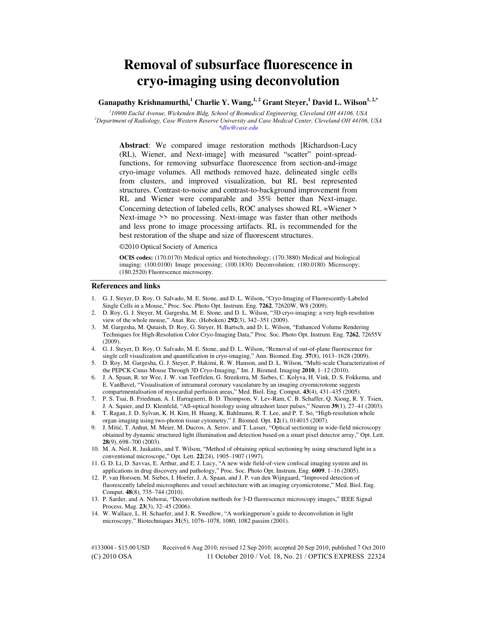# **Removal of subsurface fluorescence in cryo-imaging using deconvolution**

**Ganapathy Krishnamurthi,<sup>1</sup> Charlie Y. Wang,1, 2 Grant Steyer,<sup>1</sup> David L. Wilson1, 2,\***

*1 10900 Euclid Avenue, Wickenden Bldg, School of Biomedical Engineering, Cleveland OH 44106, USA <sup>2</sup>Department of Radiology, Case Western Reserve University and Case Medical Center, Cleveland OH 44106, USA \*dlw@case.edu* 

**Abstract**: We compared image restoration methods [Richardson-Lucy (RL), Wiener, and Next-image] with measured "scatter" point-spreadfunctions, for removing subsurface fluorescence from section-and-image cryo-image volumes. All methods removed haze, delineated single cells from clusters, and improved visualization, but RL best represented structures. Contrast-to-noise and contrast-to-background improvement from RL and Wiener were comparable and 35% better than Next-image. Concerning detection of labeled cells, ROC analyses showed RL  $\approx$ Wiener > Next-image >> no processing. Next-image was faster than other methods and less prone to image processing artifacts. RL is recommended for the best restoration of the shape and size of fluorescent structures.

©2010 Optical Society of America

**OCIS codes:** (170.0170) Medical optics and biotechnology; (170.3880) Medical and biological imaging; (100.0100) Image processing; (100.1830) Deconvolution; (180.0180) Microscopy; (180.2520) Fluorescence microscopy.

#### **References and links**

- 1. G. J. Steyer, D. Roy, O. Salvado, M. E. Stone, and D. L. Wilson, "Cryo-Imaging of Fluorescently-Labeled Single Cells in a Mouse," Proc. Soc. Photo Opt. Instrum. Eng. **7262**, 72620W, W8 (2009).
- 2. D. Roy, G. J. Steyer, M. Gargesha, M. E. Stone, and D. L. Wilson, "3D cryo-imaging: a very high-resolution view of the whole mouse," Anat. Rec. (Hoboken) **292**(3), 342–351 (2009).
- 3. M. Gargesha, M. Qutaish, D. Roy, G. Steyer, H. Bartsch, and D. L. Wilson, "Enhanced Volume Rendering Techniques for High-Resolution Color Cryo-Imaging Data," Proc. Soc. Photo Opt. Instrum. Eng. **7262**, 72655V (2009).
- 4. G. J. Steyer, D. Roy, O. Salvado, M. E. Stone, and D. L. Wilson, "Removal of out-of-plane fluorescence for single cell visualization and quantification in cryo-imaging," Ann. Biomed. Eng. **37**(8), 1613–1628 (2009).
- 5. D. Roy, M. Gargesha, G. J. Steyer, P. Hakimi, R. W. Hanson, and D. L. Wilson, "Multi-scale Characterization of the PEPCK-Cmus Mouse Through 3D Cryo-Imaging," Int. J. Biomed. Imaging **2010**, 1–12 (2010).
- 6. J. A. Spaan, R. ter Wee, J. W. van Teeffelen, G. Streekstra, M. Siebes, C. Kolyva, H. Vink, D. S. Fokkema, and E. VanBavel, "Visualisation of intramural coronary vasculature by an imaging cryomicrotome suggests compartmentalisation of myocardial perfusion areas," Med. Biol. Eng. Comput. **43**(4), 431–435 (2005).
- 7. P. S. Tsai, B. Friedman, A. I. Ifarraguerri, B. D. Thompson, V. Lev-Ram, C. B. Schaffer, Q. Xiong, R. Y. Tsien, J. A. Squier, and D. Kleinfeld, "All-optical histology using ultrashort laser pulses," Neuron **39**(1), 27–41 (2003).
- 8. T. Ragan, J. D. Sylvan, K. H. Kim, H. Huang, K. Bahlmann, R. T. Lee, and P. T. So, "High-resolution whole organ imaging using two-photon tissue cytometry," J. Biomed. Opt. **12**(1), 014015 (2007).
- 9. J. Mitić, T. Anhut, M. Meier, M. Ducros, A. Serov, and T. Lasser, "Optical sectioning in wide-field microscopy obtained by dynamic structured light illumination and detection based on a smart pixel detector array," Opt. Lett. **28**(9), 698–700 (2003).
- 10. M. A. Neil, R. Juskaitis, and T. Wilson, "Method of obtaining optical sectioning by using structured light in a conventional microscope," Opt. Lett. **22**(24), 1905–1907 (1997).
- 11. G. D. Li, D. Savvas, E. Arthur, and E. J. Lucy, "A new wide field-of-view confocal imaging system and its applications in drug discovery and pathology," Proc. Soc. Photo Opt. Instrum. Eng. **6009**, 1–16 (2005).
- 12. P. van Horssen, M. Siebes, I. Hoefer, J. A. Spaan, and J. P. van den Wijngaard, "Improved detection of fluorescently labeled microspheres and vessel architecture with an imaging cryomicrotome," Med. Biol. Eng. Comput. **48**(8), 735–744 (2010).
- 13. P. Sarder, and A. Nehorai, "Deconvolution methods for 3-D fluorescence microscopy images," IEEE Signal Process. Mag. **23**(3), 32–45 (2006).
- 14. W. Wallace, L. H. Schaefer, and J. R. Swedlow, "A workingperson"s guide to deconvolution in light microscopy," Biotechniques **31**(5), 1076–1078, 1080, 1082 passim (2001).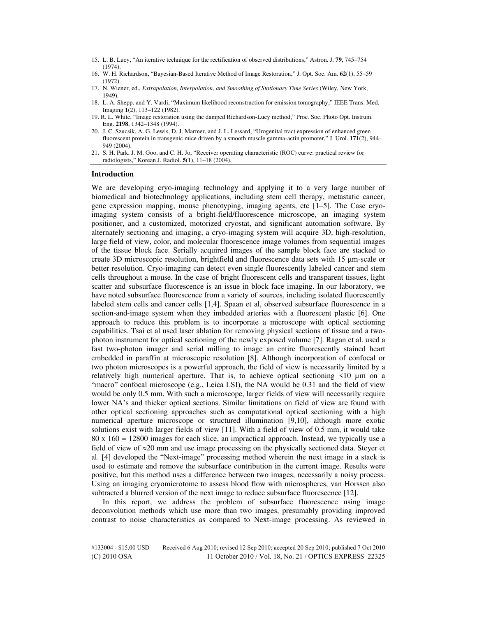- 15. L. B. Lucy, "An iterative technique for the rectification of observed distributions," Astron. J. **79**, 745–754 (1974).
- 16. W. H. Richardson, "Bayesian-Based Iterative Method of Image Restoration," J. Opt. Soc. Am. **62**(1), 55–59  $(1972)$
- 17. N. Wiener, ed., *Extrapolation, Interpolation, and Smoothing of Stationary Time Series* (Wiley, New York, 1949).
- 18. L. A. Shepp, and Y. Vardi, "Maximum likelihood reconstruction for emission tomography," IEEE Trans. Med. Imaging **1**(2), 113–122 (1982).
- 19. R. L. White, "Image restoration using the damped Richardson-Lucy method," Proc. Soc. Photo Opt. Instrum. Eng. **2198**, 1342–1348 (1994).
- 20. J. C. Szucsik, A. G. Lewis, D. J. Marmer, and J. L. Lessard, "Urogenital tract expression of enhanced green fluorescent protein in transgenic mice driven by a smooth muscle gamma-actin promoter," J. Urol. **171**(2), 944– 949 (2004).
- 21. S. H. Park, J. M. Goo, and C. H. Jo, "Receiver operating characteristic (ROC) curve: practical review for radiologists," Korean J. Radiol. **5**(1), 11–18 (2004).

#### **Introduction**

We are developing cryo-imaging technology and applying it to a very large number of biomedical and biotechnology applications, including stem cell therapy, metastatic cancer, gene expression mapping, mouse phenotyping, imaging agents, etc [1–5]. The Case cryoimaging system consists of a bright-field/fluorescence microscope, an imaging system positioner, and a customized, motorized cryostat, and significant automation software. By alternately sectioning and imaging, a cryo-imaging system will acquire 3D, high-resolution, large field of view, color, and molecular fluorescence image volumes from sequential images of the tissue block face. Serially acquired images of the sample block face are stacked to create 3D microscopic resolution, brightfield and fluorescence data sets with 15 μm-scale or better resolution. Cryo-imaging can detect even single fluorescently labeled cancer and stem cells throughout a mouse. In the case of bright fluorescent cells and transparent tissues, light scatter and subsurface fluorescence is an issue in block face imaging. In our laboratory, we have noted subsurface fluorescence from a variety of sources, including isolated fluorescently labeled stem cells and cancer cells [1,4]. Spaan et al, observed subsurface fluorescence in a section-and-image system when they imbedded arteries with a fluorescent plastic [6]. One approach to reduce this problem is to incorporate a microscope with optical sectioning capabilities. Tsai et al used laser ablation for removing physical sections of tissue and a twophoton instrument for optical sectioning of the newly exposed volume [7]. Ragan et al. used a fast two-photon imager and serial milling to image an entire fluorescently stained heart embedded in paraffin at microscopic resolution [8]. Although incorporation of confocal or two photon microscopes is a powerful approach, the field of view is necessarily limited by a relatively high numerical aperture. That is, to achieve optical sectioning  $\leq 10 \mu m$  on a "macro" confocal microscope (e.g., Leica LSI), the NA would be 0.31 and the field of view would be only 0.5 mm. With such a microscope, larger fields of view will necessarily require lower NA"s and thicker optical sections. Similar limitations on field of view are found with other optical sectioning approaches such as computational optical sectioning with a high numerical aperture microscope or structured illumination [9,10], although more exotic solutions exist with larger fields of view [11]. With a field of view of 0.5 mm, it would take 80 x 160 = 12800 images for each slice, an impractical approach. Instead, we typically use a field of view of  $\approx$ 20 mm and use image processing on the physically sectioned data. Stever et al. [4] developed the "Next-image" processing method wherein the next image in a stack is used to estimate and remove the subsurface contribution in the current image. Results were positive, but this method uses a difference between two images, necessarily a noisy process. Using an imaging cryomicrotome to assess blood flow with microspheres, van Horssen also subtracted a blurred version of the next image to reduce subsurface fluorescence [12].

In this report, we address the problem of subsurface fluorescence using image deconvolution methods which use more than two images, presumably providing improved contrast to noise characteristics as compared to Next-image processing. As reviewed in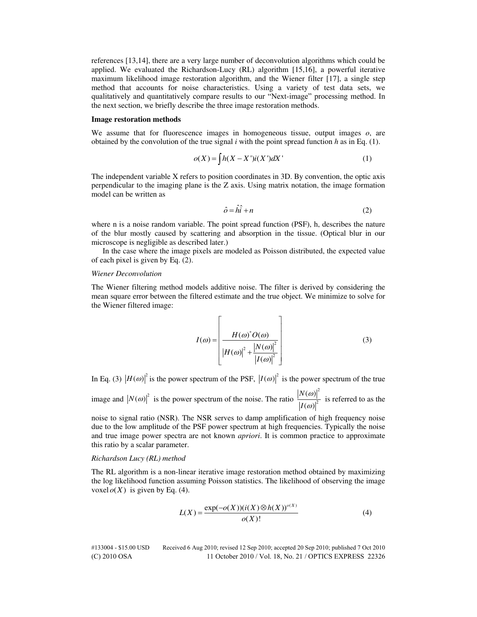references [13,14], there are a very large number of deconvolution algorithms which could be applied. We evaluated the Richardson-Lucy (RL) algorithm [15,16], a powerful iterative maximum likelihood image restoration algorithm, and the Wiener filter [17], a single step method that accounts for noise characteristics. Using a variety of test data sets, we qualitatively and quantitatively compare results to our "Next-image" processing method. In the next section, we briefly describe the three image restoration methods.

#### **Image restoration methods**

We assume that for fluorescence images in homogeneous tissue, output images *o*, are obtained by the convolution of the true signal  $i$  with the point spread function  $h$  as in Eq. (1).

$$
o(X) = \int h(X - X')i(X')dX'
$$
 (1)

The independent variable X refers to position coordinates in 3D. By convention, the optic axis perpendicular to the imaging plane is the Z axis. Using matrix notation, the image formation model can be written as

$$
\hat{o} = \hat{h}\hat{i} + n \tag{2}
$$

where n is a noise random variable. The point spread function (PSF), h, describes the nature of the blur mostly caused by scattering and absorption in the tissue. (Optical blur in our microscope is negligible as described later.)

In the case where the image pixels are modeled as Poisson distributed, the expected value of each pixel is given by Eq. (2).

## *Wiener Deconvolution*

The Wiener filtering method models additive noise. The filter is derived by considering the mean square error between the filtered estimate and the true object. We minimize to solve for the Wiener filtered image:

$$
I(\omega) = \left[\frac{H(\omega)^{*}O(\omega)}{\left|H(\omega)\right|^2 + \frac{\left|N(\omega)\right|^2}{\left|I(\omega)\right|^2}}\right]
$$
(3)

In Eq. (3)  $\left|H(\omega)\right|^2$  is the power spectrum of the PSF,  $\left|I(\omega)\right|^2$  is the power spectrum of the true

image and  $|N(\omega)|^2$  is the power spectrum of the noise. The ratio 2 2  $\left( \omega \right)$  $\left( \omega \right)$ *N I* ω  $\frac{d}{d\omega}$  is referred to as the

noise to signal ratio (NSR). The NSR serves to damp amplification of high frequency noise due to the low amplitude of the PSF power spectrum at high frequencies. Typically the noise and true image power spectra are not known *apriori*. It is common practice to approximate this ratio by a scalar parameter.

## *Richardson Lucy (RL) method*

The RL algorithm is a non-linear iterative image restoration method obtained by maximizing the log likelihood function assuming Poisson statistics. The likelihood of observing the image voxel  $o(X)$  is given by Eq. (4).

$$
L(X) = \frac{\exp(-o(X))(i(X)\otimes h(X))^{o(X)}}{o(X)!}
$$
 (4)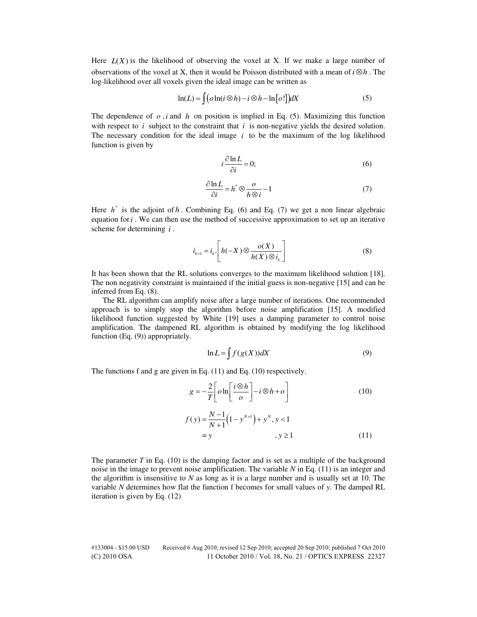Here  $L(X)$  is the likelihood of observing the voxel at X. If we make a large number of observations of the voxel at X, then it would be Poisson distributed with a mean of  $i \otimes h$ . The log-likelihood over all voxels given the ideal image can be written as

$$
\ln(L) = \int (o \ln(i \otimes h) - i \otimes h - \ln[o!]) dX \tag{5}
$$

The dependence of  $o$ , *i* and  $h$  on position is implied in Eq. (5). Maximizing this function with respect to  $i$  subject to the constraint that  $i$  is non-negative yields the desired solution. The necessary condition for the ideal image  $i$  to be the maximum of the log likelihood function is given by

$$
i\frac{\partial \ln L}{\partial i} = 0;\t\t(6)
$$

$$
\frac{\partial \ln L}{\partial i} = h^* \otimes \frac{\partial}{h \otimes i} - 1 \tag{7}
$$

Here  $h^*$  is the adjoint of  $h$ . Combining Eq. (6) and Eq. (7) we get a non linear algebraic equation for  $i$ . We can then use the method of successive approximation to set up an iterative scheme for determining *i* .

$$
i_{k+1} = i_k \left[ h(-X) \otimes \frac{o(X)}{h(X) \otimes i_k} \right]
$$
 (8)

It has been shown that the RL solutions converges to the maximum likelihood solution [18]. The non negativity constraint is maintained if the initial guess is non-negative [15] and can be inferred from Eq. (8).

The RL algorithm can amplify noise after a large number of iterations. One recommended approach is to simply stop the algorithm before noise amplification [15]. A modified likelihood function suggested by White [19] uses a damping parameter to control noise amplification. The dampened RL algorithm is obtained by modifying the log likelihood function (Eq. (9)) appropriately.

$$
\ln L = \int f(g(X))dX \tag{9}
$$

The functions f and g are given in Eq. (11) and Eq. (10) respectively.

$$
g = -\frac{2}{T} \left[ o \ln \left[ \frac{i \otimes h}{o} \right] - i \otimes h + o \right]
$$
 (10)

$$
f(y) = \frac{N-1}{N+1} (1 - y^{N+1}) + y^N, y < 1
$$
  
= y, y \ge 1 (11)

The parameter *T* in Eq. (10) is the damping factor and is set as a multiple of the background noise in the image to prevent noise amplification. The variable *N* in Eq. (11) is an integer and the algorithm is insensitive to  $N$  as long as it is a large number and is usually set at 10. The variable *N* determines how flat the function f becomes for small values of *y.* The damped RL iteration is given by Eq. (12)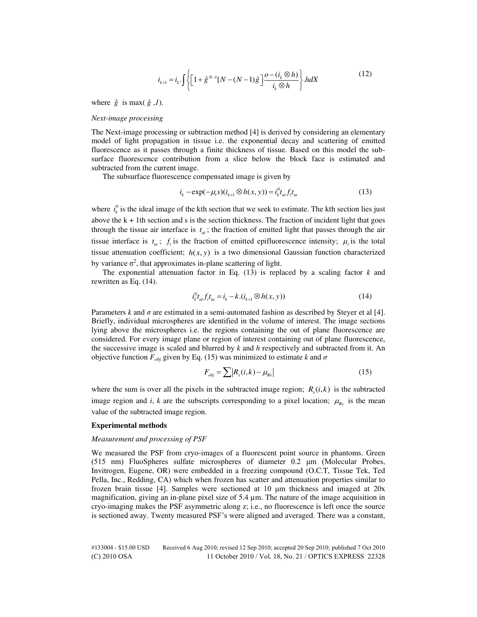$$
i_{k+1} = i_k \int \left\{ \left[ 1 + \hat{g}^{N-1} [N - (N-1)\hat{g}] \frac{\partial - (i_k \otimes h)}{i_k \otimes h} \right\} \cdot hdX \right\} \tag{12}
$$

where  $\hat{g}$  is max( $\hat{g}$ ,*1*).

#### *Next-image processing*

The Next-image processing or subtraction method [4] is derived by considering an elementary model of light propagation in tissue i.e. the exponential decay and scattering of emitted fluorescence as it passes through a finite thickness of tissue. Based on this model the subsurface fluorescence contribution from a slice below the block face is estimated and subtracted from the current image.

The subsurface fluorescence compensated image is given by

$$
i_k - \exp(-\mu_r s)(i_{k+1} \otimes h(x, y)) = i_k^0 t_{at} f_i t_{ta}
$$
\n(13)

where  $i_k^0$  is the ideal image of the kth section that we seek to estimate. The kth section lies just above the  $k + 1$ th section and s is the section thickness. The fraction of incident light that goes through the tissue air interface is  $t_{\alpha}$ ; the fraction of emitted light that passes through the air tissue interface is  $t_a$ ;  $f_i$  is the fraction of emitted epifluorescence intensity;  $\mu_i$  is the total tissue attenuation coefficient;  $h(x, y)$  is a two dimensional Gaussian function characterized by variance  $\sigma^2$ , that approximates in-plane scattering of light.

The exponential attenuation factor in Eq. (13) is replaced by a scaling factor *k* and rewritten as Eq. (14).

$$
i_k^0 t_{at} f_i t_{ta} = i_k - k \cdot (i_{k+1} \otimes h(x, y)) \tag{14}
$$

Parameters *k* and  $\sigma$  are estimated in a semi-automated fashion as described by Steyer et al [4]. Briefly, individual microspheres are identified in the volume of interest. The image sections lying above the microspheres i.e. the regions containing the out of plane fluorescence are considered. For every image plane or region of interest containing out of plane fluorescence, the successive image is scaled and blurred by *k* and *h* respectively and subtracted from it. An objective function  $F_{obj}$  given by Eq. (15) was minimized to estimate *k* and  $\sigma$ 

$$
F_{obj} = \sum |R_s(i,k) - \mu_{Rs}|
$$
 (15)

where the sum is over all the pixels in the subtracted image region;  $R_s(i, k)$  is the subtracted image region and *i*, *k* are the subscripts corresponding to a pixel location;  $\mu_{Rs}$  is the mean value of the subtracted image region.

#### **Experimental methods**

# *Measurement and processing of PSF*

We measured the PSF from cryo-images of a fluorescent point source in phantoms. Green (515 nm) FluoSpheres sulfate microspheres of diameter 0.2 μm (Molecular Probes, Invitrogen, Eugene, OR) were embedded in a freezing compound (O.C.T, Tissue Tek, Ted Pella, Inc., Redding, CA) which when frozen has scatter and attenuation properties similar to frozen brain tissue [4]. Samples were sectioned at 10 μm thickness and imaged at 20x magnification, giving an in-plane pixel size of 5.4 µm. The nature of the image acquisition in cryo-imaging makes the PSF asymmetric along z; i.e., no fluorescence is left once the source is sectioned away. Twenty measured PSF"s were aligned and averaged. There was a constant,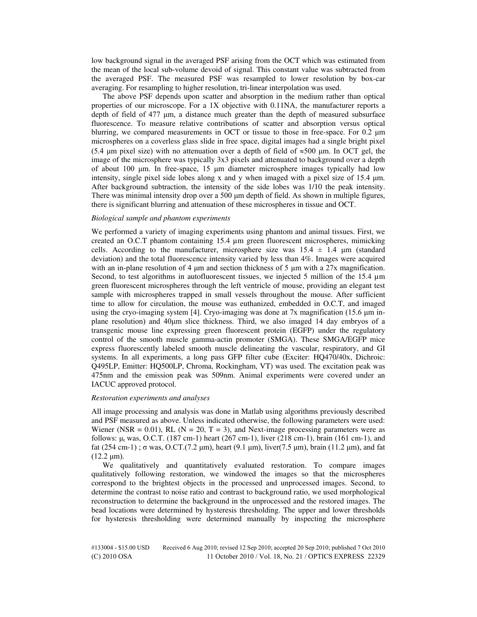low background signal in the averaged PSF arising from the OCT which was estimated from the mean of the local sub-volume devoid of signal. This constant value was subtracted from the averaged PSF. The measured PSF was resampled to lower resolution by box-car averaging. For resampling to higher resolution, tri-linear interpolation was used.

The above PSF depends upon scatter and absorption in the medium rather than optical properties of our microscope. For a 1X objective with 0.11NA, the manufacturer reports a depth of field of 477 μm, a distance much greater than the depth of measured subsurface fluorescence. To measure relative contributions of scatter and absorption versus optical blurring, we compared measurements in OCT or tissue to those in free-space. For 0.2 μm microspheres on a coverless glass slide in free space, digital images had a single bright pixel (5.4 μm pixel size) with no attenuation over a depth of field of  $\approx$  500 μm. In OCT gel, the image of the microsphere was typically 3x3 pixels and attenuated to background over a depth of about 100 μm. In free-space, 15 μm diameter microsphere images typically had low intensity, single pixel side lobes along x and y when imaged with a pixel size of 15.4  $\mu$ m. After background subtraction, the intensity of the side lobes was 1/10 the peak intensity. There was minimal intensity drop over a 500 μm depth of field. As shown in multiple figures, there is significant blurring and attenuation of these microspheres in tissue and OCT.

# *Biological sample and phantom experiments*

We performed a variety of imaging experiments using phantom and animal tissues. First, we created an O.C.T phantom containing 15.4 µm green fluorescent microspheres, mimicking cells. According to the manufacturer, microsphere size was  $15.4 \pm 1.4$  µm (standard deviation) and the total fluorescence intensity varied by less than 4%. Images were acquired with an in-plane resolution of 4  $\mu$ m and section thickness of 5  $\mu$ m with a 27x magnification. Second, to test algorithms in autofluorescent tissues, we injected 5 million of the 15.4  $\mu$ m green fluorescent microspheres through the left ventricle of mouse, providing an elegant test sample with microspheres trapped in small vessels throughout the mouse. After sufficient time to allow for circulation, the mouse was euthanized, embedded in O.C.T, and imaged using the cryo-imaging system [4]. Cryo-imaging was done at 7x magnification (15.6 μm inplane resolution) and 40μm slice thickness. Third, we also imaged 14 day embryos of a transgenic mouse line expressing green fluorescent protein (EGFP) under the regulatory control of the smooth muscle gamma-actin promoter (SMGA). These SMGA/EGFP mice express fluorescently labeled smooth muscle delineating the vascular, respiratory, and GI systems. In all experiments, a long pass GFP filter cube (Exciter: HQ470/40x, Dichroic: Q495LP, Emitter: HQ500LP, Chroma, Rockingham, VT) was used. The excitation peak was 475nm and the emission peak was 509nm. Animal experiments were covered under an IACUC approved protocol.

# *Restoration experiments and analyses*

All image processing and analysis was done in Matlab using algorithms previously described and PSF measured as above. Unless indicated otherwise, the following parameters were used: Wiener (NSR =  $0.01$ ), RL (N = 20, T = 3), and Next-image processing parameters were as follows:  $\mu$ <sub>t</sub> was, O.C.T. (187 cm-1) heart (267 cm-1), liver (218 cm-1), brain (161 cm-1), and fat  $(254 \text{ cm}-1)$ ; σ was, O.CT. $(7.2 \text{ µm})$ , heart  $(9.1 \text{ µm})$ , liver $(7.5 \text{ µm})$ , brain  $(11.2 \text{ µm})$ , and fat  $(12.2 \text{ µm})$ .

We qualitatively and quantitatively evaluated restoration. To compare images qualitatively following restoration, we windowed the images so that the microspheres correspond to the brightest objects in the processed and unprocessed images. Second, to determine the contrast to noise ratio and contrast to background ratio, we used morphological reconstruction to determine the background in the unprocessed and the restored images. The bead locations were determined by hysteresis thresholding. The upper and lower thresholds for hysteresis thresholding were determined manually by inspecting the microsphere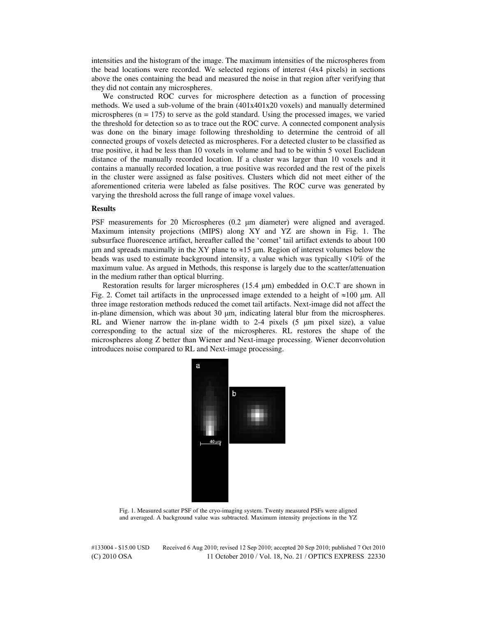intensities and the histogram of the image. The maximum intensities of the microspheres from the bead locations were recorded. We selected regions of interest (4x4 pixels) in sections above the ones containing the bead and measured the noise in that region after verifying that they did not contain any microspheres.

We constructed ROC curves for microsphere detection as a function of processing methods. We used a sub-volume of the brain (401x401x20 voxels) and manually determined microspheres ( $n = 175$ ) to serve as the gold standard. Using the processed images, we varied the threshold for detection so as to trace out the ROC curve. A connected component analysis was done on the binary image following thresholding to determine the centroid of all connected groups of voxels detected as microspheres. For a detected cluster to be classified as true positive, it had be less than 10 voxels in volume and had to be within 5 voxel Euclidean distance of the manually recorded location. If a cluster was larger than 10 voxels and it contains a manually recorded location, a true positive was recorded and the rest of the pixels in the cluster were assigned as false positives. Clusters which did not meet either of the aforementioned criteria were labeled as false positives. The ROC curve was generated by varying the threshold across the full range of image voxel values.

# **Results**

PSF measurements for 20 Microspheres (0.2 μm diameter) were aligned and averaged. Maximum intensity projections (MIPS) along XY and YZ are shown in Fig. 1. The subsurface fluorescence artifact, hereafter called the 'comet' tail artifact extends to about 100 μm and spreads maximally in the XY plane to  $\approx$  15 μm. Region of interest volumes below the beads was used to estimate background intensity, a value which was typically <10% of the maximum value. As argued in Methods, this response is largely due to the scatter/attenuation in the medium rather than optical blurring.

Restoration results for larger microspheres (15.4 μm) embedded in O.C.T are shown in Fig. 2. Comet tail artifacts in the unprocessed image extended to a height of  $\approx$ 100 µm. All three image restoration methods reduced the comet tail artifacts. Next-image did not affect the in-plane dimension, which was about 30 μm, indicating lateral blur from the microspheres. RL and Wiener narrow the in-plane width to 2-4 pixels (5 μm pixel size), a value corresponding to the actual size of the microspheres. RL restores the shape of the microspheres along Z better than Wiener and Next-image processing. Wiener deconvolution introduces noise compared to RL and Next-image processing.



Fig. 1. Measured scatter PSF of the cryo-imaging system. Twenty measured PSFs were aligned and averaged. A background value was subtracted. Maximum intensity projections in the YZ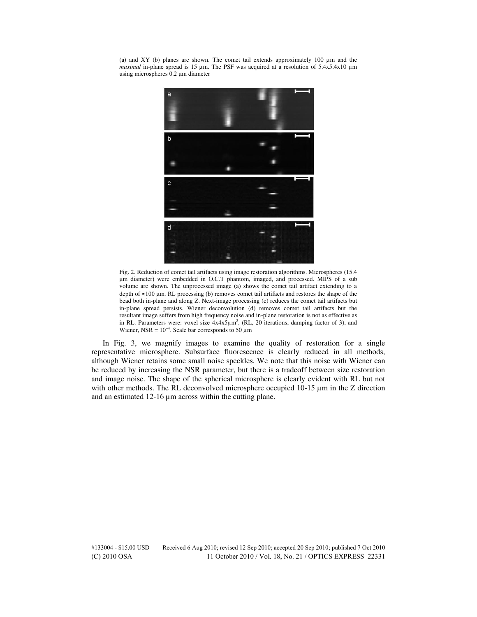(a) and XY (b) planes are shown. The comet tail extends approximately 100 µm and the *maximal* in-plane spread is 15 µm. The PSF was acquired at a resolution of 5.4x5.4x10 µm using microspheres 0.2 μm diameter



Fig. 2. Reduction of comet tail artifacts using image restoration algorithms. Microspheres (15.4 μm diameter) were embedded in O.C.T phantom, imaged, and processed. MIPS of a sub volume are shown. The unprocessed image (a) shows the comet tail artifact extending to a depth of  $\approx$ 100 μm. RL processing (b) removes comet tail artifacts and restores the shape of the bead both in-plane and along Z. Next-image processing (c) reduces the comet tail artifacts but in-plane spread persists. Wiener deconvolution (d) removes comet tail artifacts but the resultant image suffers from high frequency noise and in-plane restoration is not as effective as in RL. Parameters were: voxel size  $4x4x5\mu m^3$ , (RL, 20 iterations, damping factor of 3), and Wiener, NSR =  $10^{-4}$ . Scale bar corresponds to 50  $\mu$ m

In Fig. 3, we magnify images to examine the quality of restoration for a single representative microsphere. Subsurface fluorescence is clearly reduced in all methods, although Wiener retains some small noise speckles. We note that this noise with Wiener can be reduced by increasing the NSR parameter, but there is a tradeoff between size restoration and image noise. The shape of the spherical microsphere is clearly evident with RL but not with other methods. The RL deconvolved microsphere occupied 10-15  $\mu$ m in the Z direction and an estimated 12-16 µm across within the cutting plane.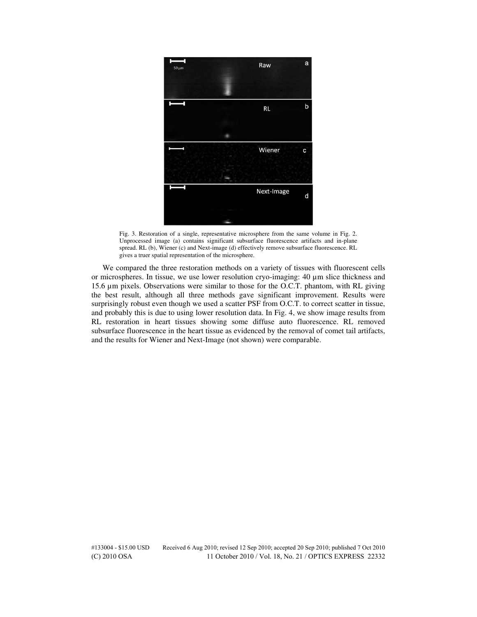

Fig. 3. Restoration of a single, representative microsphere from the same volume in Fig. 2. Unprocessed image (a) contains significant subsurface fluorescence artifacts and in-plane spread. RL (b), Wiener (c) and Next-image (d) effectively remove subsurface fluorescence. RL gives a truer spatial representation of the microsphere.

We compared the three restoration methods on a variety of tissues with fluorescent cells or microspheres. In tissue, we use lower resolution cryo-imaging: 40 µm slice thickness and 15.6 µm pixels. Observations were similar to those for the O.C.T. phantom, with RL giving the best result, although all three methods gave significant improvement. Results were surprisingly robust even though we used a scatter PSF from O.C.T. to correct scatter in tissue, and probably this is due to using lower resolution data. In Fig. 4, we show image results from RL restoration in heart tissues showing some diffuse auto fluorescence. RL removed subsurface fluorescence in the heart tissue as evidenced by the removal of comet tail artifacts, and the results for Wiener and Next-Image (not shown) were comparable.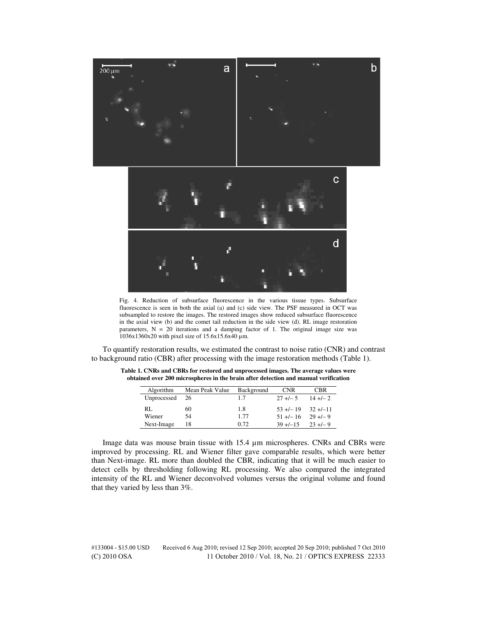

Fig. 4. Reduction of subsurface fluorescence in the various tissue types. Subsurface fluorescence is seen in both the axial (a) and (c) side view. The PSF measured in OCT was subsampled to restore the images. The restored images show reduced subsurface fluorescence in the axial view (b) and the comet tail reduction in the side view (d). RL image restoration parameters,  $N = 20$  iterations and a damping factor of 1. The original image size was 1036x1360x20 with pixel size of 15.6x15.6x40 µm.

To quantify restoration results, we estimated the contrast to noise ratio (CNR) and contrast to background ratio (CBR) after processing with the image restoration methods (Table 1).

| Algorithm   | Mean Peak Value | Background | <b>CNR</b>                | <b>CBR</b> |
|-------------|-----------------|------------|---------------------------|------------|
| Unprocessed | -26             | 1.7        | $27 + (-5)$ 14 + $(-2)$   |            |
| RL.         | 60              | 1.8        | $53 + (-19)$ $32 + (-11)$ |            |
| Wiener      | 54              | 1.77       | $51 + (-16)$ 29 + $(-9)$  |            |
| Next-Image  | 18              | 0.72       | $39 + (-15 \t 23 + (-9$   |            |

**Table 1. CNRs and CBRs for restored and unprocessed images. The average values were obtained over 200 microspheres in the brain after detection and manual verification** 

Image data was mouse brain tissue with 15.4 µm microspheres. CNRs and CBRs were improved by processing. RL and Wiener filter gave comparable results, which were better than Next-image. RL more than doubled the CBR, indicating that it will be much easier to detect cells by thresholding following RL processing. We also compared the integrated intensity of the RL and Wiener deconvolved volumes versus the original volume and found that they varied by less than 3%.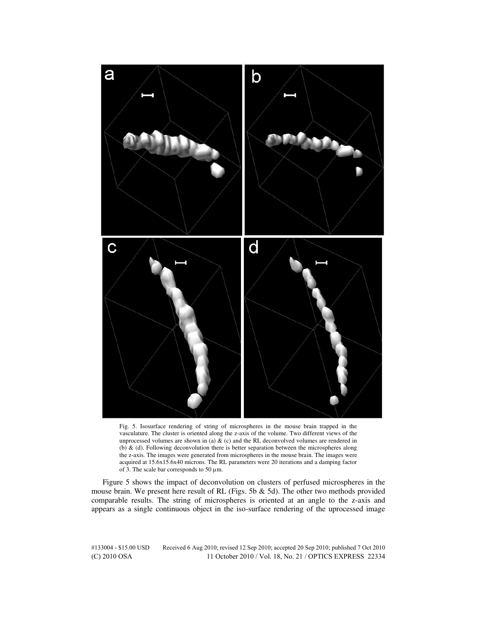

Fig. 5. Isosurface rendering of string of microspheres in the mouse brain trapped in the vasculature. The cluster is oriented along the z-axis of the volume. Two different views of the unprocessed volumes are shown in (a)  $\&$  (c) and the RL deconvolved volumes are rendered in (b) & (d). Following deconvolution there is better separation between the microspheres along the z-axis. The images were generated from microspheres in the mouse brain. The images were acquired at 15.6x15.6x40 microns. The RL parameters were 20 iterations and a damping factor of 3. The scale bar corresponds to 50  $\mu$ m.

Figure 5 shows the impact of deconvolution on clusters of perfused microspheres in the mouse brain. We present here result of RL (Figs. 5b & 5d). The other two methods provided comparable results. The string of microspheres is oriented at an angle to the z-axis and appears as a single continuous object in the iso-surface rendering of the uprocessed image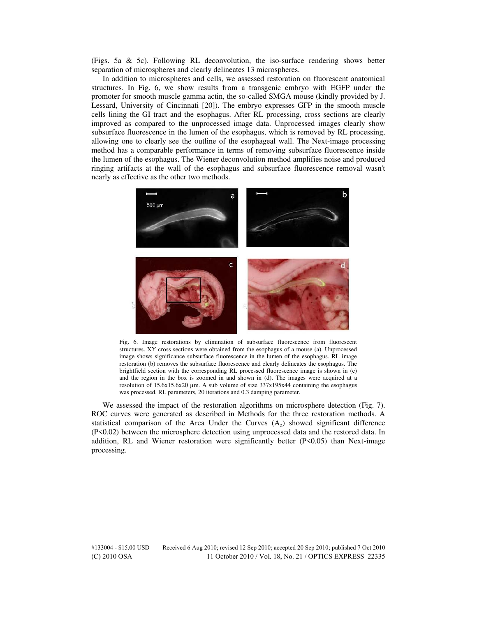(Figs. 5a & 5c). Following RL deconvolution, the iso-surface rendering shows better separation of microspheres and clearly delineates 13 microspheres.

In addition to microspheres and cells, we assessed restoration on fluorescent anatomical structures. In Fig. 6, we show results from a transgenic embryo with EGFP under the promoter for smooth muscle gamma actin, the so-called SMGA mouse (kindly provided by J. Lessard, University of Cincinnati [20]). The embryo expresses GFP in the smooth muscle cells lining the GI tract and the esophagus. After RL processing, cross sections are clearly improved as compared to the unprocessed image data. Unprocessed images clearly show subsurface fluorescence in the lumen of the esophagus, which is removed by RL processing, allowing one to clearly see the outline of the esophageal wall. The Next-image processing method has a comparable performance in terms of removing subsurface fluorescence inside the lumen of the esophagus. The Wiener deconvolution method amplifies noise and produced ringing artifacts at the wall of the esophagus and subsurface fluorescence removal wasn't nearly as effective as the other two methods.



Fig. 6. Image restorations by elimination of subsurface fluorescence from fluorescent structures. XY cross sections were obtained from the esophagus of a mouse (a). Unprocessed image shows significance subsurface fluorescence in the lumen of the esophagus. RL image restoration (b) removes the subsurface fluorescence and clearly delineates the esophagus. The brightfield section with the corresponding RL processed fluorescence image is shown in (c) and the region in the box is zoomed in and shown in (d). The images were acquired at a resolution of  $15.6x15.6x20 \mu m$ . A sub volume of size  $337x195x44$  containing the esophagus was processed. RL parameters, 20 iterations and 0.3 damping parameter.

We assessed the impact of the restoration algorithms on microsphere detection (Fig. 7). ROC curves were generated as described in Methods for the three restoration methods. A statistical comparison of the Area Under the Curves  $(A<sub>z</sub>)$  showed significant difference (P<0.02) between the microsphere detection using unprocessed data and the restored data. In addition, RL and Wiener restoration were significantly better (P<0.05) than Next-image processing.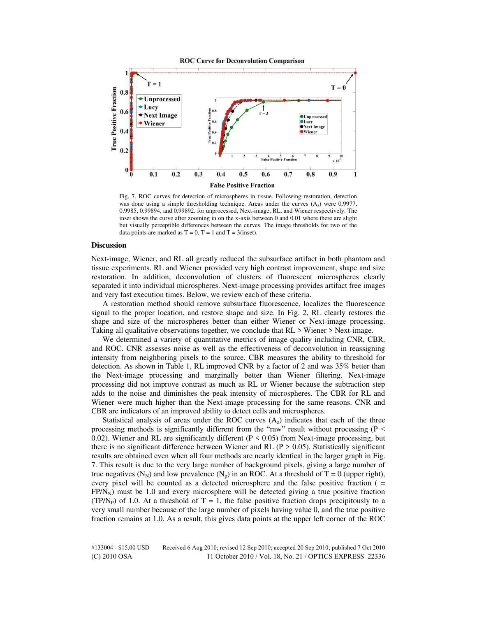



Fig. 7. ROC curves for detection of microspheres in tissue. Following restoration, detection was done using a simple thresholding technique. Areas under the curves  $(A<sub>z</sub>)$  were 0.9977, 0.9985, 0.99894, and 0.99892, for unprocessed, Next-image, RL, and Wiener respectively. The inset shows the curve after zooming in on the x-axis between 0 and 0.01 where there are slight but visually perceptible differences between the curves. The image thresholds for two of the data points are marked as  $T = 0$ ,  $T = 1$  and  $T = 3$ (inset).

## **Discussion**

Next-image, Wiener, and RL all greatly reduced the subsurface artifact in both phantom and tissue experiments. RL and Wiener provided very high contrast improvement, shape and size restoration. In addition, deconvolution of clusters of fluorescent microspheres clearly separated it into individual microspheres. Next-image processing provides artifact free images and very fast execution times. Below, we review each of these criteria.

A restoration method should remove subsurface fluorescence, localizes the fluorescence signal to the proper location, and restore shape and size. In Fig. 2, RL clearly restores the shape and size of the microspheres better than either Wiener or Next-image processing. Taking all qualitative observations together, we conclude that RL > Wiener > Next-image.

We determined a variety of quantitative metrics of image quality including CNR, CBR, and ROC. CNR assesses noise as well as the effectiveness of deconvolution in reassigning intensity from neighboring pixels to the source. CBR measures the ability to threshold for detection. As shown in Table 1, RL improved CNR by a factor of 2 and was 35% better than the Next-image processing and marginally better than Wiener filtering. Next-image processing did not improve contrast as much as RL or Wiener because the subtraction step adds to the noise and diminishes the peak intensity of microspheres. The CBR for RL and Wiener were much higher than the Next-image processing for the same reasons. CNR and CBR are indicators of an improved ability to detect cells and microspheres.

Statistical analysis of areas under the ROC curves  $(A<sub>z</sub>)$  indicates that each of the three processing methods is significantly different from the "raw" result without processing ( $P \le$ 0.02). Wiener and RL are significantly different ( $P \le 0.05$ ) from Next-image processing, but there is no significant difference between Wiener and RL ( $P > 0.05$ ). Statistically significant results are obtained even when all four methods are nearly identical in the larger graph in Fig. 7. This result is due to the very large number of background pixels, giving a large number of true negatives  $(N_N)$  and low prevalence  $(N_p)$  in an ROC. At a threshold of T = 0 (upper right), every pixel will be counted as a detected microsphere and the false positive fraction ( =  $FP/N<sub>N</sub>$ ) must be 1.0 and every microsphere will be detected giving a true positive fraction (TP/N<sub>P</sub>) of 1.0. At a threshold of  $T = 1$ , the false positive fraction drops precipitously to a very small number because of the large number of pixels having value 0, and the true positive fraction remains at 1.0. As a result, this gives data points at the upper left corner of the ROC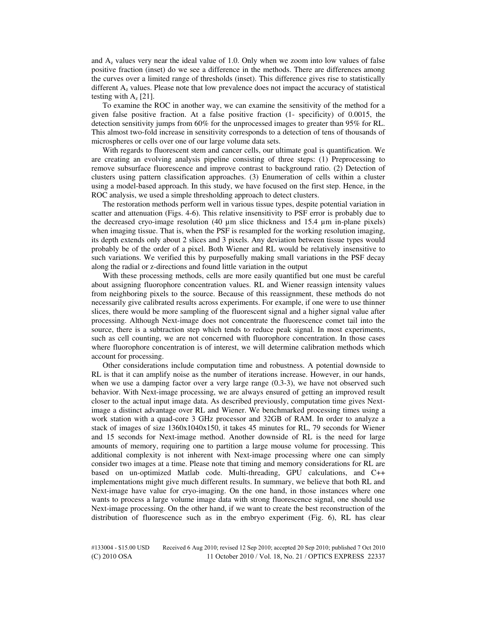and  $A<sub>z</sub>$  values very near the ideal value of 1.0. Only when we zoom into low values of false positive fraction (inset) do we see a difference in the methods. There are differences among the curves over a limited range of thresholds (inset). This difference gives rise to statistically different  $A<sub>z</sub>$  values. Please note that low prevalence does not impact the accuracy of statistical testing with  $A_z$  [21].

To examine the ROC in another way, we can examine the sensitivity of the method for a given false positive fraction. At a false positive fraction (1- specificity) of 0.0015, the detection sensitivity jumps from 60% for the unprocessed images to greater than 95% for RL. This almost two-fold increase in sensitivity corresponds to a detection of tens of thousands of microspheres or cells over one of our large volume data sets.

With regards to fluorescent stem and cancer cells, our ultimate goal is quantification. We are creating an evolving analysis pipeline consisting of three steps: (1) Preprocessing to remove subsurface fluorescence and improve contrast to background ratio. (2) Detection of clusters using pattern classification approaches. (3) Enumeration of cells within a cluster using a model-based approach. In this study, we have focused on the first step. Hence, in the ROC analysis, we used a simple thresholding approach to detect clusters.

The restoration methods perform well in various tissue types, despite potential variation in scatter and attenuation (Figs. 4-6). This relative insensitivity to PSF error is probably due to the decreased cryo-image resolution (40 µm slice thickness and 15.4 µm in-plane pixels) when imaging tissue. That is, when the PSF is resampled for the working resolution imaging, its depth extends only about 2 slices and 3 pixels. Any deviation between tissue types would probably be of the order of a pixel. Both Wiener and RL would be relatively insensitive to such variations. We verified this by purposefully making small variations in the PSF decay along the radial or z-directions and found little variation in the output

With these processing methods, cells are more easily quantified but one must be careful about assigning fluorophore concentration values. RL and Wiener reassign intensity values from neighboring pixels to the source. Because of this reassignment, these methods do not necessarily give calibrated results across experiments. For example, if one were to use thinner slices, there would be more sampling of the fluorescent signal and a higher signal value after processing. Although Next-image does not concentrate the fluorescence comet tail into the source, there is a subtraction step which tends to reduce peak signal. In most experiments, such as cell counting, we are not concerned with fluorophore concentration. In those cases where fluorophore concentration is of interest, we will determine calibration methods which account for processing.

Other considerations include computation time and robustness. A potential downside to RL is that it can amplify noise as the number of iterations increase. However, in our hands, when we use a damping factor over a very large range (0.3-3), we have not observed such behavior. With Next-image processing, we are always ensured of getting an improved result closer to the actual input image data. As described previously, computation time gives Nextimage a distinct advantage over RL and Wiener. We benchmarked processing times using a work station with a quad-core 3 GHz processor and 32GB of RAM. In order to analyze a stack of images of size 1360x1040x150, it takes 45 minutes for RL, 79 seconds for Wiener and 15 seconds for Next-image method. Another downside of RL is the need for large amounts of memory, requiring one to partition a large mouse volume for processing. This additional complexity is not inherent with Next-image processing where one can simply consider two images at a time. Please note that timing and memory considerations for RL are based on un-optimized Matlab code. Multi-threading, GPU calculations, and C++ implementations might give much different results. In summary, we believe that both RL and Next-image have value for cryo-imaging. On the one hand, in those instances where one wants to process a large volume image data with strong fluorescence signal, one should use Next-image processing. On the other hand, if we want to create the best reconstruction of the distribution of fluorescence such as in the embryo experiment (Fig. 6), RL has clear